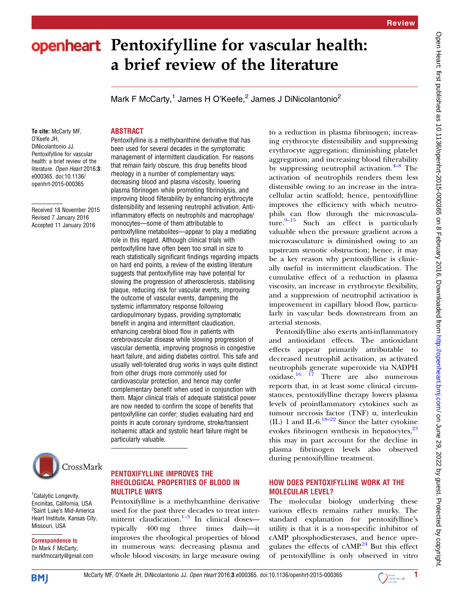# openheart Pentoxifylline for vascular health: a brief review of the literature

Pentoxifylline is a methylxanthine derivative that has been used for several decades in the symptomatic management of intermittent claudication. For reasons that remain fairly obscure, this drug benefits blood rheology in a number of complementary ways: decreasing blood and plasma viscosity, lowering plasma fibrinogen while promoting fibrinolysis, and improving blood filterability by enhancing erythrocyte distensibility and lessening neutrophil activation. Antiinflammatory effects on neutrophils and macrophage/

monocytes—some of them attributable to

pentoxifylline metabolites—appear to play a mediating role in this regard. Although clinical trials with pentoxifylline have often been too small in size to reach statistically significant findings regarding impacts on hard end points, a review of the existing literature suggests that pentoxifylline may have potential for slowing the progression of atherosclerosis, stabilising plaque, reducing risk for vascular events, improving the outcome of vascular events, dampening the systemic inflammatory response following cardiopulmonary bypass, providing symptomatic benefit in angina and intermittent claudication, enhancing cerebral blood flow in patients with cerebrovascular disease while slowing progression of vascular dementia, improving prognosis in congestive heart failure, and aiding diabetes control. This safe and usually well-tolerated drug works in ways quite distinct

Mark F McCarty,<sup>1</sup> James H O'Keefe,<sup>2</sup> James J DiNicolantonio<sup>2</sup>

To cite: McCarty MF, O'Keefe JH, DiNicolantonio JJ. Pentoxifylline for vascular health: a brief review of the literature. Open Heart 2016;3: e000365. doi:10.1136/ openhrt-2015-000365

ABSTRACT

Received 18 November 2015 Revised 7 January 2016 Accepted 11 January 2016



<sup>1</sup> Catalytic Longevity, Encinitas, California, USA <sup>2</sup>Saint Luke's Mid-America Heart Institute, Kansas City, Missouri, USA

Correspondence to Dr Mark F McCarty; markfmccarty@gmail.com

## PENTOXIFYLLINE IMPROVES THE RHEOLOGICAL PROPERTIES OF BLOOD IN MULTIPLE WAYS

from other drugs more commonly used for cardiovascular protection, and hence may confer complementary benefit when used in conjunction with them. Major clinical trials of adequate statistical power are now needed to confirm the scope of benefits that pentoxifylline can confer; studies evaluating hard end points in acute coronary syndrome, stroke/transient ischaemic attack and systolic heart failure might be

particularly valuable.

Pentoxifylline is a methylxanthine derivative used for the past three decades to treat intermittent claudication. $1-3$  In clinical doses typically 400 mg three times daily—it improves the rheological properties of blood in numerous ways: decreasing plasma and whole blood viscosity, in large measure owing to a reduction in plasma fibrinogen; increasing erythrocyte distensibility and suppressing erythrocyte aggregation; diminishing platelet aggregation; and increasing blood filterability by suppressing neutrophil activation. $4-8$  The activation of neutrophils renders them less distensible owing to an increase in the intracellular actin scaffold; hence, pentoxifylline improves the efficiency with which neutrophils can flow through the microvasculature. $9-15$  $9-15$  Such an effect is particularly valuable when the pressure gradient across a microvasculature is diminished owing to an upstream stenotic obstruction; hence, it may be a key reason why pentoxifylline is clinically useful in intermittent claudication. The cumulative effect of a reduction in plasma viscosity, an increase in erythrocyte flexibility, and a suppression of neutrophil activation is improvement in capillary blood flow, particularly in vascular beds downstream from an arterial stenosis.

Pentoxifylline also exerts anti-inflammatory and antioxidant effects. The antioxidant effects appear primarily attributable to decreased neutrophil activation, as activated neutrophils generate superoxide via NADPH oxidase. $16 \t17$  There are also numerous reports that, in at least some clinical circumstances, pentoxifylline therapy lowers plasma levels of proinflammatory cytokines such as tumour necrosis factor (TNF) α, interleukin (IL) 1 and IL-6. $18-22$  $18-22$  Since the latter cytokine evokes fibrinogen synthesis in hepatocytes, $23$ this may in part account for the decline in plasma fibrinogen levels also observed during pentoxifylline treatment.

# HOW DOES PENTOXIFYLLINE WORK AT THE MOLECULAR LEVEL?

The molecular biology underlying these various effects remains rather murky. The standard explanation for pentoxifylline's utility is that it is a non-specific inhibitor of cAMP phosphodiesterases, and hence upregulates the effects of  $cAMP<sup>24</sup>$  $cAMP<sup>24</sup>$  $cAMP<sup>24</sup>$  But this effect of pentoxifylline is only observed in vitro



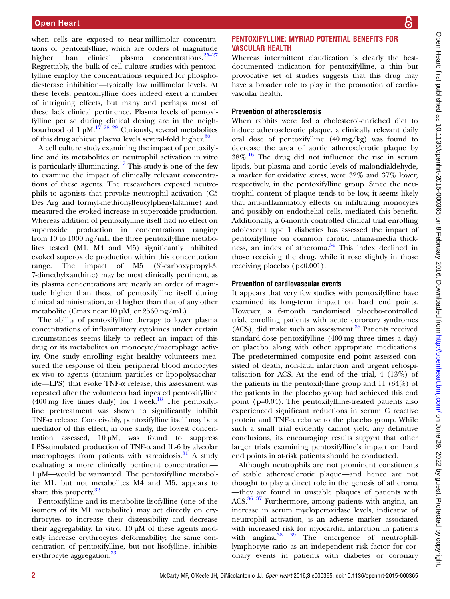when cells are exposed to near-millimolar concentrations of pentoxifylline, which are orders of magnitude higher than clinical plasma concentrations. $25-27$  $25-27$ Regrettably, the bulk of cell culture studies with pentoxifylline employ the concentrations required for phosphodiesterase inhibition—typically low millimolar levels. At these levels, pentoxifylline does indeed exert a number of intriguing effects, but many and perhaps most of these lack clinical pertinence. Plasma levels of pentoxifylline per se during clinical dosing are in the neighbourhood of 1  $\mu$ M.<sup>[17 28 29](#page-4-0)</sup> Curiously, several metabolites of this drug achieve plasma levels several-fold higher.<sup>[30](#page-4-0)</sup>

A cell culture study examining the impact of pentoxifylline and its metabolites on neutrophil activation in vitro is particularly illuminating.<sup>[17](#page-4-0)</sup> This study is one of the few to examine the impact of clinically relevant concentrations of these agents. The researchers exposed neutrophils to agonists that provoke neutrophil activation (C5 Des Arg and formyl-methionylleucylphenylalanine) and measured the evoked increase in superoxide production. Whereas addition of pentoxifylline itself had no effect on superoxide production in concentrations ranging from 10 to 1000 ng/mL, the three pentoxifylline metabolites tested (M1, M4 and M5) significantly inhibited evoked superoxide production within this concentration range. The impact of M5 (3'-carboxypropyl-3, 7-dimethylxanthine) may be most clinically pertinent, as its plasma concentrations are nearly an order of magnitude higher than those of pentoxifylline itself during clinical administration, and higher than that of any other metabolite (Cmax near 10 µM, or 2560 ng/mL).

The ability of pentoxifylline therapy to lower plasma concentrations of inflammatory cytokines under certain circumstances seems likely to reflect an impact of this drug or its metabolites on monocyte/macrophage activity. One study enrolling eight healthy volunteers measured the response of their peripheral blood monocytes ex vivo to agents (titanium particles or lipopolysaccharide—LPS) that evoke TNF-α release; this assessment was repeated after the volunteers had ingested pentoxifylline  $(400 \text{ mg}$  five times daily) for 1 week.<sup>[18](#page-4-0)</sup> The pentoxifylline pretreatment was shown to significantly inhibit TNF-α release. Conceivably, pentoxifylline itself may be a mediator of this effect; in one study, the lowest concentration assessed, 10 µM, was found to suppress LPS-stimulated production of TNF-α and IL-6 by alveolar macrophages from patients with sarcoidosis. $31$  A study evaluating a more clinically pertinent concentration— 1 µM—would be warranted. The pentoxifylline metabolite M1, but not metabolites M4 and M5, appears to share this property.<sup>[32](#page-4-0)</sup>

Pentoxifylline and its metabolite lisofylline (one of the isomers of its M1 metabolite) may act directly on erythrocytes to increase their distensibility and decrease their aggregability. In vitro, 10 µM of these agents modestly increase erythrocytes deformability; the same concentration of pentoxifylline, but not lisofylline, inhibits erythrocyte aggregation.<sup>[33](#page-4-0)</sup>

# PENTOXIFYLLINE: MYRIAD POTENTIAL BENEFITS FOR VASCULAR HEALTH

Whereas intermittent claudication is clearly the bestdocumented indication for pentoxifylline, a thin but provocative set of studies suggests that this drug may have a broader role to play in the promotion of cardiovascular health.

# Prevention of atherosclerosis

When rabbits were fed a cholesterol-enriched diet to induce atherosclerotic plaque, a clinically relevant daily oral dose of pentoxifylline (40 mg/kg) was found to decrease the area of aortic atherosclerotic plaque by  $38\%$ .<sup>[16](#page-4-0)</sup> The drug did not influence the rise in serum lipids, but plasma and aortic levels of malondialdehyde, a marker for oxidative stress, were 32% and 37% lower, respectively, in the pentoxifylline group. Since the neutrophil content of plaque tends to be low, it seems likely that anti-inflammatory effects on infiltrating monocytes and possibly on endothelial cells, mediated this benefit. Additionally, a 6-month controlled clinical trial enrolling adolescent type 1 diabetics has assessed the impact of pentoxifylline on common carotid intima-media thickness, an index of atheroma. $34$  This index declined in those receiving the drug, while it rose slightly in those receiving placebo (p<0.001).

# Prevention of cardiovascular events

It appears that very few studies with pentoxifylline have examined its long-term impact on hard end points. However, a 6-month randomised placebo-controlled trial, enrolling patients with acute coronary syndromes  $(ACS)$ , did make such an assessment. $35$  Patients received standard-dose pentoxifylline (400 mg three times a day) or placebo along with other appropriate medications. The predetermined composite end point assessed consisted of death, non-fatal infarction and urgent rehospitalisation for ACS. At the end of the trial, 4 (13%) of the patients in the pentoxifylline group and 11 (34%) of the patients in the placebo group had achieved this end point (p=0.04). The pentoxifyllline-treated patients also experienced significant reductions in serum C reactive protein and TNF-α relative to the placebo group. While such a small trial evidently cannot yield any definitive conclusions, its encouraging results suggest that other larger trials examining pentoxifylline's impact on hard end points in at-risk patients should be conducted.

Although neutrophils are not prominent constituents of stable atherosclerotic plaque—and hence are not thought to play a direct role in the genesis of atheroma —they are found in unstable plaques of patients with ACS.<sup>36</sup> <sup>37</sup> Furthermore, among patients with angina, an increase in serum myeloperoxidase levels, indicative of neutrophil activation, is an adverse marker associated with increased risk for myocardial infarction in patients with angina.<sup>38</sup> <sup>39</sup> The emergence of neutrophillymphocyte ratio as an independent risk factor for coronary events in patients with diabetes or coronary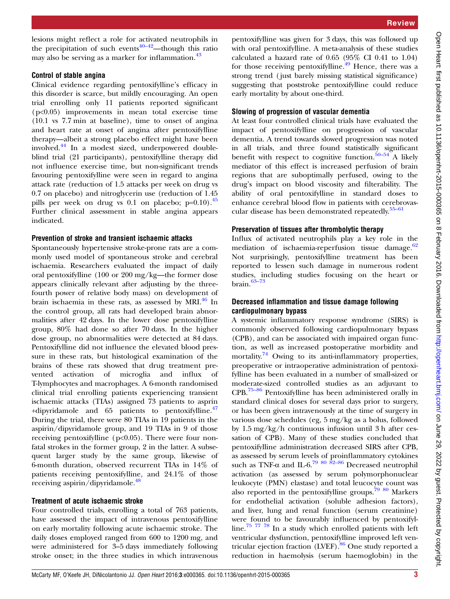lesions might reflect a role for activated neutrophils in the precipitation of such events<sup>[40](#page-4-0)–42</sup>—though this ratio may also be serving as a marker for inflammation. $43$ 

## Control of stable angina

Clinical evidence regarding pentoxifylline's efficacy in this disorder is scarce, but mildly encouraging. An open trial enrolling only 11 patients reported significant (p<0.05) improvements in mean total exercise time (10.1 vs 7.7 min at baseline), time to onset of angina and heart rate at onset of angina after pentoxifylline therapy—albeit a strong placebo effect might have been involved.[44](#page-4-0) In a modest sized, underpowered doubleblind trial (21 participants), pentoxifylline therapy did not influence exercise time, but non-significant trends favouring pentoxifylline were seen in regard to angina attack rate (reduction of 1.5 attacks per week on drug vs 0.7 on placebo) and nitroglycerin use (reduction of 1.45 pills per week on drug vs  $0.1$  on placebo; p=0.10).<sup>[45](#page-4-0)</sup> Further clinical assessment in stable angina appears indicated.

#### Prevention of stroke and transient ischaemic attacks

Spontaneously hypertensive stroke-prone rats are a commonly used model of spontaneous stroke and cerebral ischaemia. Researchers evaluated the impact of daily oral pentoxifylline (100 or 200 mg/kg—the former dose appears clinically relevant after adjusting by the threefourth power of relative body mass) on development of brain ischaemia in these rats, as assessed by MRI. $^{46}$  $^{46}$  $^{46}$  In the control group, all rats had developed brain abnormalities after 42 days. In the lower dose pentoxifylline group, 80% had done so after 70 days. In the higher dose group, no abnormalities were detected at 84 days. Pentoxifylline did not influence the elevated blood pressure in these rats, but histological examination of the brains of these rats showed that drug treatment prevented activation of microglia and influx of T-lymphocytes and macrophages. A 6-month randomised clinical trial enrolling patients experiencing transient ischaemic attacks (TIAs) assigned 73 patients to asprin +dipyridamole and  $65$  patients to pentoxifylline.<sup>[47](#page-4-0)</sup> During the trial, there were 80 TIAs in 19 patients in the aspirin/dipyridamole group, and 19 TIAs in 9 of those receiving pentoxifylline (p<0.05). There were four nonfatal strokes in the former group, 2 in the latter. A subsequent larger study by the same group, likewise of 6-month duration, observed recurrent TIAs in 14% of patients receiving pentoxifylline, and 24.1% of those receiving aspirin/dipyridamole.<sup>[48](#page-4-0)</sup>

#### Treatment of acute ischaemic stroke

Four controlled trials, enrolling a total of 763 patients, have assessed the impact of intravenous pentoxifylline on early mortality following acute ischaemic stroke. The daily doses employed ranged from 600 to 1200 mg, and were administered for 3–5 days immediately following stroke onset; in the three studies in which intravenous

pentoxifylline was given for 3 days, this was followed up with oral pentoxifylline. A meta-analysis of these studies calculated a hazard rate of 0.65 (95% CI 0.41 to 1.04) for those receiving pentoxifylline.<sup>49</sup> Hence, there was a strong trend ( just barely missing statistical significance) suggesting that poststroke pentoxifylline could reduce early mortality by about one-third.

#### Slowing of progression of vascular dementia

At least four controlled clinical trials have evaluated the impact of pentoxifylline on progression of vascular dementia. A trend towards slowed progression was noted in all trials, and three found statistically significant benefit with respect to cognitive function.<sup>[50](#page-4-0)–54</sup> A likely mediator of this effect is increased perfusion of brain regions that are suboptimally perfused, owing to the drug's impact on blood viscosity and filterability. The ability of oral pentoxifylline in standard doses to enhance cerebral blood flow in patients with cerebrovas-cular disease has been demonstrated repeatedly.<sup>[55](#page-5-0)–61</sup>

## Preservation of tissues after thrombolytic therapy

Influx of activated neutrophils play a key role in the mediation of ischaemia-reperfusion tissue damage.<sup>[62](#page-5-0)</sup> Not surprisingly, pentoxifylline treatment has been reported to lessen such damage in numerous rodent studies, including studies focusing on the heart or brain. $63-73$  $63-73$ 

## Decreased inflammation and tissue damage following cardiopulmonary bypass

A systemic inflammatory response syndrome (SIRS) is commonly observed following cardiopulmonary bypass (CPB), and can be associated with impaired organ function, as well as increased postoperative morbidity and mortality.<sup>74</sup> Owing to its anti-inflammatory properties, preoperative or intraoperative administration of pentoxifylline has been evaluated in a number of small-sized or moderate-sized controlled studies as an adjuvant to CPB.[75](#page-5-0)–<sup>86</sup> Pentoxifylline has been administered orally in standard clinical doses for several days prior to surgery, or has been given intravenously at the time of surgery in various dose schedules (eg, 5 mg/kg as a bolus, followed by 1.5 mg/kg/h continuous infusion until 3 h after cessation of CPB). Many of these studies concluded that pentoxifylline administration decreased SIRS after CPB, as assessed by serum levels of proinflammatory cytokines such as TNF- $\alpha$  and IL-6.<sup>[79 80 82](#page-5-0)–86</sup> Decreased neutrophil activation (as assessed by serum polymorphonuclear leukocyte (PMN) elastase) and total leucocyte count was also reported in the pentoxifylline groups.<sup>[79 80](#page-5-0)</sup> Markers for endothelial activation (soluble adhesion factors), and liver, lung and renal function (serum creatinine) were found to be favourably influenced by pentoxifylline.[75 77 78](#page-5-0) In a study which enrolled patients with left ventricular dysfunction, pentoxifylline improved left ven-tricular ejection fraction (LVEF).<sup>[86](#page-5-0)</sup> One study reported a reduction in haemolysis (serum haemoglobin) in the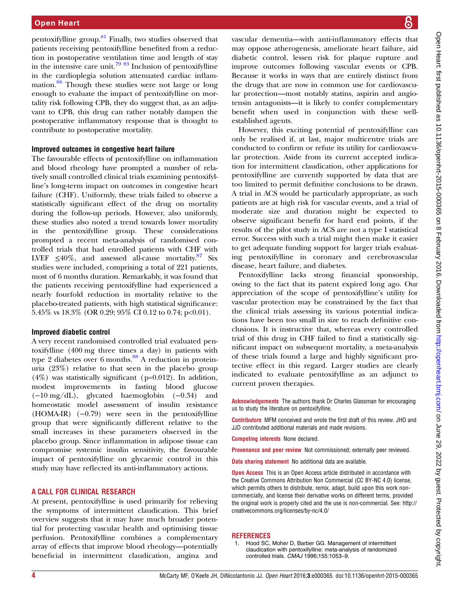<span id="page-3-0"></span>pentoxifylline group.[81](#page-5-0) Finally, two studies observed that patients receiving pentoxifylline benefited from a reduction in postoperative ventilation time and length of stay in the intensive care unit.<sup>[79 83](#page-5-0)</sup> Inclusion of pentoxifylline in the cardioplegia solution attenuated cardiac inflammation. $\frac{66}{6}$  $\frac{66}{6}$  $\frac{66}{6}$  Though these studies were not large or long enough to evaluate the impact of pentoxifylline on mortality risk following CPB, they do suggest that, as an adjuvant to CPB, this drug can rather notably dampen the postoperative inflammatory response that is thought to contribute to postoperative mortality.

#### Improved outcomes in congestive heart failure

The favourable effects of pentoxifylline on inflammation and blood rheology have prompted a number of relatively small controlled clinical trials examining pentoxifylline's long-term impact on outcomes in congestive heart failure (CHF). Uniformly, these trials failed to observe a statistically significant effect of the drug on mortality during the follow-up periods. However, also uniformly, these studies also noted a trend towards lower mortality in the pentoxifylline group. These considerations prompted a recent meta-analysis of randomised controlled trials that had enrolled patients with CHF with LVEF  $\leq 40\%$ , and assessed all-cause mortality.<sup>87</sup> Six studies were included, comprising a total of 221 patients, most of 6 months duration. Remarkably, it was found that the patients receiving pentoxifylline had experienced a nearly fourfold reduction in mortality relative to the placebo-treated patients, with high statistical significance: 5.45% vs  $18.3\%$  (OR 0.29; 95% CI 0.12 to 0.74; p<0.01).

#### Improved diabetic control

A very recent randomised controlled trial evaluated pentoxifylline (400 mg three times a day) in patients with type 2 diabetes over 6 months. $88$  A reduction in proteinuria (23%) relative to that seen in the placebo group (4%) was statistically significant (p=0.012). In addition, modest improvements in fasting blood glucose (−10 mg/dL), glycated haemoglobin (−0.34) and homeostatic model assessment of insulin resistance (HOMA-IR) (−0.79) were seen in the pentoxifylline group that were significantly different relative to the small increases in these parameters observed in the placebo group. Since inflammation in adipose tissue can compromise systemic insulin sensitivity, the favourable impact of pentoxifylline on glycaemic control in this study may have reflected its anti-inflammatory actions.

#### A CALL FOR CLINICAL RESEARCH

At present, pentoxifylline is used primarily for relieving the symptoms of intermittent claudication. This brief overview suggests that it may have much broader potential for protecting vascular health and optimising tissue perfusion. Pentoxifylline combines a complementary array of effects that improve blood rheology—potentially beneficial in intermittent claudication, angina and vascular dementia—with anti-inflammatory effects that may oppose atherogenesis, ameliorate heart failure, aid diabetic control, lessen risk for plaque rupture and improve outcomes following vascular events or CPB. Because it works in ways that are entirely distinct from the drugs that are now in common use for cardiovascular protection—most notably statins, aspirin and angiotensin antagonists—it is likely to confer complementary benefit when used in conjunction with these wellestablished agents.

However, this exciting potential of pentoxifylline can only be realised if, at last, major multicentre trials are conducted to confirm or refute its utility for cardiovascular protection. Aside from its current accepted indication for intermittent claudication, other applications for pentoxifylline are currently supported by data that are too limited to permit definitive conclusions to be drawn. A trial in ACS would be particularly appropriate, as such patients are at high risk for vascular events, and a trial of moderate size and duration might be expected to observe significant benefit for hard end points, if the results of the pilot study in ACS are not a type I statistical error. Success with such a trial might then make it easier to get adequate funding support for larger trials evaluating pentoxifylline in coronary and cerebrovascular disease, heart failure, and diabetes.

Pentoxifylline lacks strong financial sponsorship, owing to the fact that its patent expired long ago. Our appreciation of the scope of pentoxifylline's utility for vascular protection may be constrained by the fact that the clinical trials assessing its various potential indications have been too small in size to reach definitive conclusions. It is instructive that, whereas every controlled trial of this drug in CHF failed to find a statistically significant impact on subsequent mortality, a meta-analysis of these trials found a large and highly significant protective effect in this regard. Larger studies are clearly indicated to evaluate pentoxifylline as an adjunct to current proven therapies.

Acknowledgements The authors thank Dr Charles Glassman for encouraging us to study the literature on pentoxifylline.

Contributors MFM conceived and wrote the first draft of this review. JHO and JJD contributed additional materials and made revisions.

Competing interests None declared.

Provenance and peer review Not commissioned; externally peer reviewed.

Data sharing statement No additional data are available.

**Open Access** This is an Open Access article distributed in accordance with the Creative Commons Attribution Non Commercial (CC BY-NC 4.0) license, which permits others to distribute, remix, adapt, build upon this work noncommercially, and license their derivative works on different terms, provided the original work is properly cited and the use is non-commercial. See: [http://](http://creativecommons.org/licenses/by-nc/4.0/) [creativecommons.org/licenses/by-nc/4.0/](http://creativecommons.org/licenses/by-nc/4.0/)

#### **REFERENCES**

1. Hood SC, Moher D, Barber GG. Management of intermittent claudication with pentoxifylline: meta-analysis of randomized controlled trials. CMAJ 1996;155:1053–9.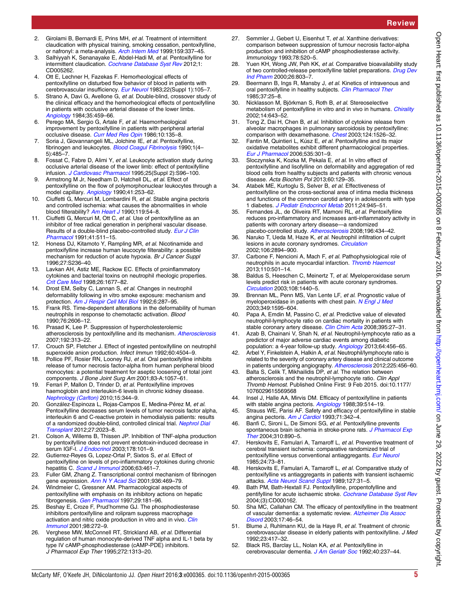- <span id="page-4-0"></span>3. Salhiyyah K, Senanayake E, Abdel-Hadi M, et al. Pentoxifylline for intermittent claudication. [Cochrane Database Syst Rev](http://dx.doi.org/10.1002/14651858.CD005262.pub2) 2012;1: CD005262.
- 4. Ott E, Lechner H, Fazekas F. Hemorheological effects of pentoxifylline on disturbed flow behavior of blood in patients with cerebrovascular insufficiency. [Eur Neurol](http://dx.doi.org/10.1159/000115658) 1983;22(Suppl 1):105-7.
- 5. Strano A, Davi G, Avellone G, et al. Double-blind, crossover study of the clinical efficacy and the hemorheological effects of pentoxifylline in patients with occlusive arterial disease of the lower limbs. [Angiology](http://dx.doi.org/10.1177/000331978403500709) 1984;35:459–66.
- 6. Perego MA, Sergio G, Artale F, et al. Haemorrheological improvement by pentoxifylline in patients with peripheral arterial occlusive disease. [Curr Med Res Opin](http://dx.doi.org/10.1185/03007998609110431) 1986;10:135-8.
- 7. Soria J, Giovannangeli ML, Jolchine IE, et al. Pentoxifylline, fibrinogen and leukocytes. [Blood Coagul Fibrinolysis](http://dx.doi.org/10.1097/00001721-199010000-00022) 1990;1(4– 5):485–7.
- 8. Fossat C, Fabre D, Alimi Y, et al. Leukocyte activation study during occlusive arterial disease of the lower limb: effect of pentoxifylline infusion. [J Cardiovasc Pharmacol](http://dx.doi.org/10.1097/00005344-199500252-00021) 1995;25(Suppl 2):S96-100.
- 9. Armstrong M Jr, Needham D, Hatchell DL, et al. Effect of pentoxifylline on the flow of polymorphonuclear leukocytes through a model capillary. [Angiology](http://dx.doi.org/10.1177/000331979004100401) 1990;41:253-62.
- 10. Ciuffetti G, Mercuri M, Lombardini R, et al. Stable angina pectoris and controlled ischemia: what causes the abnormalities in whole blood filterability? [Am Heart J](http://dx.doi.org/10.1016/S0002-8703(05)80081-X) 1990;119:54-8.
- 11. Ciuffetti G, Mercuri M, Ott C, et al. Use of pentoxifylline as an inhibitor of free radical generation in peripheral vascular disease. Results of a double-blind placebo-controlled study. [Eur J Clin](http://dx.doi.org/10.1007/BF00314976) [Pharmacol](http://dx.doi.org/10.1007/BF00314976) 1991;41:511–15.
- 12. Honess DJ, Kitamoto Y, Rampling MR, et al. Nicotinamide and pentoxifylline increase human leucocyte filterability: a possible mechanism for reduction of acute hypoxia. Br J Cancer Suppl 1996;27:S236–40.
- 13. Lavkan AH, Astiz ME, Rackow EC. Effects of proinflammatory cytokines and bacterial toxins on neutrophil rheologic properties. [Crit Care Med](http://dx.doi.org/10.1097/00003246-199810000-00021) 1998;26:1677–82.
- 14. Drost EM, Selby C, Lannan S, et al. Changes in neutrophil deformability following in vitro smoke exposure: mechanism and protection. [Am J Respir Cell Mol Biol](http://dx.doi.org/10.1165/ajrcmb/6.3.287) 1992;6:287–95.
- 15. Frank RS. Time-dependent alterations in the deformability of human neutrophils in response to chemotactic activation. Blood 1990;76:2606–12.
- 16. Prasad K, Lee P. Suppression of hypercholesterolemic atherosclerosis by pentoxifylline and its mechanism. [Atherosclerosis](http://dx.doi.org/10.1016/j.atherosclerosis.2006.07.034) 2007;192:313–22.
- 17. Crouch SP, Fletcher J. Effect of ingested pentoxifylline on neutrophil superoxide anion production. Infect Immun 1992;60:4504-9.
- 18. Pollice PF, Rosier RN, Looney RJ, et al. Oral pentoxifylline inhibits release of tumor necrosis factor-alpha from human peripheral blood monocytes: a potential treatment for aseptic loosening of total joint components. J Bone Joint Surg Am 2001;83-A:1057–61.
- 19. Ferrari P, Mallon D, Trinder D, et al. Pentoxifylline improves haemoglobin and interleukin-6 levels in chronic kidney disease. [Nephrology \(Carlton\)](http://dx.doi.org/10.1111/j.1440-1797.2009.01203.x) 2010;15:344–9.
- 20. González-Espinoza L, Rojas-Campos E, Medina-Pérez M, et al. Pentoxifylline decreases serum levels of tumor necrosis factor alpha, interleukin 6 and C-reactive protein in hemodialysis patients: results of a randomized double-blind, controlled clinical trial. [Nephrol Dial](http://dx.doi.org/10.1093/ndt/gfr579) [Transplant](http://dx.doi.org/10.1093/ndt/gfr579) 2012;27:2023–8.
- 21. Colson A, Willems B, Thissen JP. Inhibition of TNF-alpha production by pentoxifylline does not prevent endotoxin-induced decrease in serum IGF-I. [J Endocrinol](http://dx.doi.org/10.1677/joe.0.1780101) 2003;178:101-9.
- 22. Gutierrez-Reyes G, Lopez-Ortal P, Sixtos S, et al. Effect of pentoxifylline on levels of pro-inflammatory cytokines during chronic hepatitis C. [Scand J Immunol](http://dx.doi.org/10.1111/j.1365-3083.2006.001761.x) 2006;63:461-7.
- 23. Fuller GM, Zhang Z. Transcriptional control mechanism of fibrinogen gene expression. [Ann N Y Acad Sci](http://dx.doi.org/10.1111/j.1749-6632.2001.tb03534.x) 2001;936:469-79.
- 24. Windmeier C, Gressner AM. Pharmacological aspects of pentoxifylline with emphasis on its inhibitory actions on hepatic fibrogenesis. [Gen Pharmacol](http://dx.doi.org/10.1016/S0306-3623(96)00314-X) 1997;29:181-96.
- 25. Beshay E, Croze F, Prud'homme GJ. The phosphodiesterase inhibitors pentoxifylline and rolipram suppress macrophage activation and nitric oxide production in vitro and in vivo. [Clin](http://dx.doi.org/10.1006/clim.2000.4964) [Immunol](http://dx.doi.org/10.1006/clim.2000.4964) 2001;98:272–9.
- 26. Verghese MW, McConnell RT, Strickland AB, et al. Differential regulation of human monocyte-derived TNF alpha and IL-1 beta by type IV cAMP-phosphodiesterase (cAMP-PDE) inhibitors. J Pharmacol Exp Ther 1995;272:1313–20.
- 27. Semmler J, Gebert U, Eisenhut T, et al. Xanthine derivatives: comparison between suppression of tumour necrosis factor-alpha production and inhibition of cAMP phosphodiesterase activity. Immunology 1993;78:520–5.
- 28. Yuen KH, Wong JW, Peh KK, et al. Comparative bioavailability study of two controlled-release pentoxifylline tablet preparations. [Drug Dev](http://dx.doi.org/10.1081/DDC-100101303) [Ind Pharm](http://dx.doi.org/10.1081/DDC-100101303) 2000;26:803–7.
- 29. Beermann B, Ings R, Mansby J, et al. Kinetics of intravenous and oral pentoxifylline in healthy subjects. [Clin Pharmacol Ther](http://dx.doi.org/10.1038/clpt.1985.6) 1985;37:25–8.
- 30. Nicklasson M, Björkman S, Roth B, et al. Stereoselective metabolism of pentoxifylline in vitro and in vivo in humans. [Chirality](http://dx.doi.org/10.1002/chir.10121) 2002;14:643–52.
- 31. Tong Z, Dai H, Chen B, et al. Inhibition of cytokine release from alveolar macrophages in pulmonary sarcoidosis by pentoxifylline: comparison with dexamethasone. [Chest](http://dx.doi.org/10.1378/chest.124.4.1526) 2003;124:1526-32.
- 32. Fantin M, Quintieri L, Kúsz E, et al. Pentoxifylline and its major oxidative metabolites exhibit different pharmacological properties. [Eur J Pharmacol](http://dx.doi.org/10.1016/j.ejphar.2006.02.017) 2006;535:301–9.
- 33. Sloczynska K, Kozka M, Pekala E, et al. In vitro effect of pentoxifylline and lisofylline on deformability and aggregation of red blood cells from healthy subjects and patients with chronic venous disease. Acta Biochim Pol 2013;60:129–35.
- 34. Atabek ME, Kurtoglu S, Selver B, et al. Effectiveness of pentoxifylline on the cross-sectional area of intima media thickness and functions of the common carotid artery in adolescents with type 1 diabetes. [J Pediatr Endocrinol Metab](http://dx.doi.org/10.1515/JPEM.2011.199) 2011;24:945–51.
- 35. Fernandes JL, de Oliveira RT, Mamoni RL, et al. Pentoxifylline reduces pro-inflammatory and increases anti-inflammatory activity in patients with coronary artery disease—a randomized placebo-controlled study. [Atherosclerosis](http://dx.doi.org/10.1016/j.atherosclerosis.2006.11.032) 2008;196:434-42.
- 36. Naruko T, Ueda M, Haze K, et al. Neutrophil infiltration of culprit lesions in acute coronary syndromes. [Circulation](http://dx.doi.org/10.1161/01.CIR.0000042674.89762.20) 2002;106:2894–900.
- 37. Carbone F, Nencioni A, Mach F, et al. Pathophysiological role of neutrophils in acute myocardial infarction. [Thromb Haemost](http://dx.doi.org/10.1160/TH13-03-0211) 2013;110:501–14.
- 38. Baldus S, Heeschen C, Meinertz T, et al. Myeloperoxidase serum levels predict risk in patients with acute coronary syndromes. [Circulation](http://dx.doi.org/10.1161/01.CIR.0000090690.67322.51) 2003;108:1440–5.
- 39. Brennan ML, Penn MS, Van Lente LF, et al. Prognostic value of myeloperoxidase in patients with chest pain. [N Engl J Med](http://dx.doi.org/10.1056/NEJMoa035003) 2003;349:1595–604.
- 40. Papa A, Emdin M, Passino C, et al. Predictive value of elevated neutrophil-lymphocyte ratio on cardiac mortality in patients with stable coronary artery disease. [Clin Chim Acta](http://dx.doi.org/10.1016/j.cca.2008.04.019) 2008;395:27-31.
- 41. Azab B, Chainani V, Shah N, et al. Neutrophil-lymphocyte ratio as a predictor of major adverse cardiac events among diabetic population: a 4-year follow-up study. [Angiology](http://dx.doi.org/10.1177/0003319712455216) 2013;64:456-65.
- 42. Arbel Y, Finkelstein A, Halkin A, et al. Neutrophil/lymphocyte ratio is related to the severity of coronary artery disease and clinical outcome in patients undergoing angiography. [Atherosclerosis](http://dx.doi.org/10.1016/j.atherosclerosis.2012.09.009) 2012;225:456-60.
- 43. Balta S, Celik T, Mikhailidis DP, et al. The relation between atherosclerosis and the neutrophil-lymphocyte ratio. Clin Appl Thromb Hemost. Published Online First: 9 Feb 2015. doi:10.1177/ 1076029615569568
- 44. Insel J, Halle AA, Mirvis DM. Efficacy of pentoxifylline in patients with stable angina pectoris. [Angiology](http://dx.doi.org/10.1177/000331978803900604) 1988;39:514-19.
- 45. Strauss WE, Parisi AF. Safety and efficacy of pentoxifylline in stable angina pectoris. [Am J Cardiol](http://dx.doi.org/10.1016/0002-9149(93)90803-K) 1993;71:342-4.
- 46. Banfi C, Sironi L, De Simoni SG, et al. Pentoxifylline prevents spontaneous brain ischemia in stroke-prone rats. [J Pharmacol Exp](http://dx.doi.org/10.1124/jpet.104.067090) [Ther](http://dx.doi.org/10.1124/jpet.104.067090) 2004;310:890–5.
- 47. Herskovits E, Famulari A, Tamaroff L, et al. Preventive treatment of cerebral transient ischemia: comparative randomized trial of pentoxifylline versus conventional antiaggregants. [Eur Neurol](http://dx.doi.org/10.1159/000115765) 1985;24:73–81.
- 48. Herskovits E, Famulari A, Tamaroff L, et al. Comparative study of pentoxifylline vs antiaggregants in patients with transient ischaemic attacks. [Acta Neurol Scand Suppl](http://dx.doi.org/10.1111/j.1600-0404.1989.tb01808.x) 1989;127:31–5.
- 49. Bath PM, Bath-Hextall FJ. Pentoxifylline, propentofylline and pentifylline for acute ischaemic stroke. [Cochrane Database Syst Rev](http://dx.doi.org/10.1002/14651858.CD000162.pub2) 2004;(3):CD000162.
- 50. Sha MC, Callahan CM. The efficacy of pentoxifylline in the treatment of vascular dementia: a systematic review. [Alzheimer Dis Assoc](http://dx.doi.org/10.1097/00002093-200301000-00006) [Disord](http://dx.doi.org/10.1097/00002093-200301000-00006) 2003;17:46–54.
- 51. Blume J, Ruhlmann KU, de la Haye R, et al. Treatment of chronic cerebrovascular disease in elderly patients with pentoxifylline. J Med 1992;23:417–32.
- 52. Black RS, Barclay LL, Nolan KA, et al. Pentoxifylline in cerebrovascular dementia. [J Am Geriatr Soc](http://dx.doi.org/10.1111/j.1532-5415.1992.tb02075.x) 1992;40:237-44.